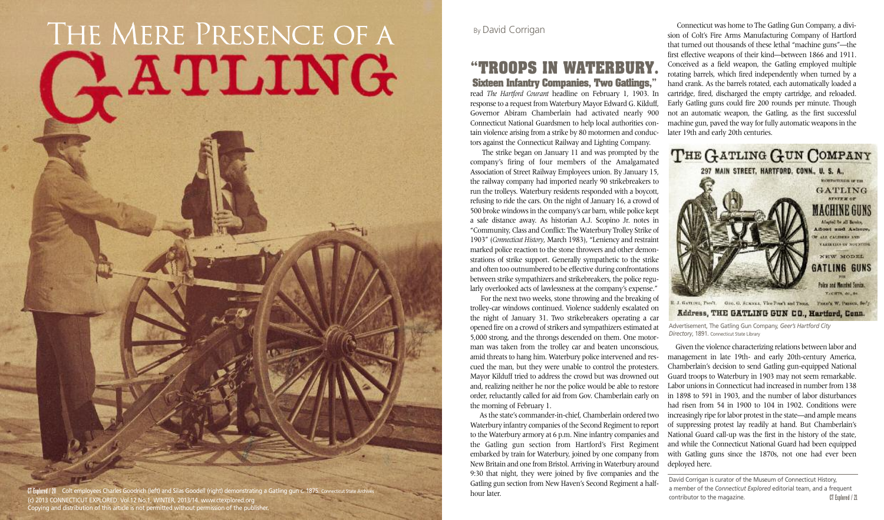## **"TROOPS IN WATERBURY.**

**Sixteen Infantry Companies, Two Gatlings,"** read *The Hartford Courant* headline on February 1, 1903. In response to a request from Waterbury Mayor Edward G. Kilduff, Governor Abiram Chamberlain had activated nearly 900 Connecticut National Guardsmen to help local authorities contain violence arising from a strike by 80 motormen and conductors against the Connecticut Railway and Lighting Company.

The strike began on January 11 and was prompted by the For the next two weeks, stone throwing and the breaking of

company's firing of four members of the Amalgamated Association of Street Railway Employees union. By January 15, the railway company had imported nearly 90 strikebreakers to run the trolleys. Waterbury residents responded with a boycott, refusing to ride the cars. On the night of January 16, a crowd of 500 broke windowsin the company's car barn, while police kept a safe distance away. As historian A.J. Scopino Jr. notes in "Community, Class and Conflict: The Waterbury Trolley Strike of 1903" (*Connecticut History*, March 1983), "Leniency and restraint marked police reaction to the stone throwers and other demonstrations of strike support. Generally sympathetic to the strike and often too outnumbered to be effective during confrontations between strike sympathizers and strikebreakers, the police regularly overlooked acts of lawlessness at the company's expense." trolley-car windows continued. Violence suddenly escalated on the night of January 31. Two strikebreakers operating a car opened fire on a crowd of strikers and sympathizers estimated at 5,000 strong, and the throngs descended on them. One motorman was taken from the trolley car and beaten unconscious, amid threats to hang him. Waterbury police intervened and rescued the man, but they were unable to control the protesters. Mayor Kilduff tried to address the crowd but was drowned out and, realizing neither he nor the police would be able to restore order, reluctantly called for aid from Gov. Chamberlain early on the morning of February 1.

Asthe state's commander-in-chief, Chamberlain ordered two Waterbury infantry companies of the Second Regiment to report to the Waterbury armory at 6 p.m. Nine infantry companies and the Gatling gun section from Hartford's First Regiment embarked by train for Waterbury, joined by one company from New Britain and one from Bristol. Arriving in Waterbury around 9:30 that night, they were joined by five companies and the Gatling gun section from New Haven's Second Regiment a halfhour later.

## THE MERE PRESENCE OF A<br> **ATLING**<br>
Sixteen Infantry of Sixteen Infantry of Sixteen Infantry of Sixteen Infantry of Courant

**CT** Explored / 20 Colt employees Charles Goodrich (left) and Silas Goodell (right) demonstrating a Gatling gun c. 1875. Co **COLLUT AND ARREST CONNECTICUT EXPLORED.** Vol.12 No.1, WINTER, 2013/14. www.ctexplored.org **COLLUT EXPLORED.** Vol.12 No.1, WINTER, 2013/14. www.ctexplored.org **COLLUT EXPLORED.** Vol.12 No.1, WINTER, 2013/14. www.ctexplored Copying and distribution of this article is not permitted without permission of the publisher.

Connecticut was home to The Gatling Gun Company, a division of Colt's Fire Arms Manufacturing Company of Hartford that turned out thousands of these lethal "machine guns"—the first effective weapons of their kind—between 1866 and 1911. Conceived as a field weapon, the Gatling employed multiple rotating barrels, which fired independently when turned by a hand crank. As the barrels rotated, each automatically loaded a cartridge, fired, discharged the empty cartridge, and reloaded. Early Gatling guns could fire 200 rounds per minute. Though not an automatic weapon, the Gatling, as the first successful machine gun, paved the way for fully automatic weapons in the later 19th and early 20th centuries.

Given the violence characterizing relations between labor and management in late 19th- and early 20th-century America, Chamberlain's decision to send Gatling gun-equipped National Guard troops to Waterbury in 1903 may not seem remarkable. Labor unions in Connecticut had increased in number from 138 in 1898 to 591 in 1903, and the number of labor disturbances had risen from 54 in 1900 to 104 in 1902. Conditions were increasingly ripe for labor protest in the state—and ample means of suppressing protest lay readily at hand. But Chamberlain's National Guard call-up was the first in the history of the state, and while the Connecticut National Guard had been equipped with Gatling guns since the 1870s, not one had ever been deployed here.

David Corrigan is curator of the Museum of Connecticut History, a member of the *Connecticut Explored* editorial team, and a frequent contributor to the magazine.



Advertisement, The Gatling Gun Company, *Geer's Hartford City Directory*, 1891. Connecticut State Library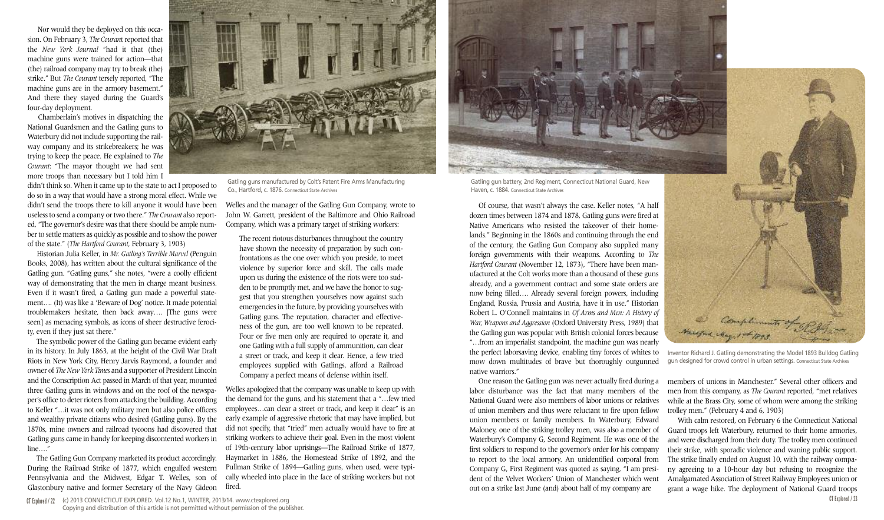Nor would they be deployed on this occasion. On February 3, *The Courant* reported that the *New York Journal* "had it that (the) machine guns were trained for action—that (the) railroad company may try to break (the) strike." But *The Courant* tersely reported, "The machine guns are in the armory basement." And there they stayed during the Guard's four-day deployment.

Chamberlain's motives in dispatching the National Guardsmen and the Gatling guns to Waterbury did not include supporting the railway company and its strikebreakers; he was trying to keep the peace. He explained to *The Courant*: "The mayor thought we had sent more troops than necessary but I told him I

didn't think so. When it came up to the state to act I proposed to do so in a way that would have a strong moral effect. While we didn't send the troops there to kill anyone it would have been uselessto send a company ortwo there." *The Courant* also reported, "The governor's desire was that there should be ample number to settle matters as quickly as possible and to show the power of the state." (*The Hartford Courant*, February 3, 1903)

Historian Julia Keller, in *Mr. Gatling's Terrible Marvel* (Penguin Books, 2008), has written about the cultural significance of the Gatling gun. "Gatling guns," she notes, "were a coolly efficient way of demonstrating that the men in charge meant business. Even if it wasn't fired, a Gatling gun made a powerful statement…. (It) was like a 'Beware of Dog' notice. It made potential troublemakers hesitate, then back away…. [The guns were seen] as menacing symbols, as icons of sheer destructive ferocity, even if they just sat there."

The symbolic power of the Gatling gun became evident early in its history. In July 1863, at the height of the Civil War Draft Riots in New York City, Henry Jarvis Raymond, a founder and owner of *The New York Times* and a supporter of President Lincoln and the Conscription Act passed in March of that year, mounted three Gatling guns in windows and on the roof of the newspaper's office to deter rioters from attacking the building. According to Keller "…it was not only military men but also police officers and wealthy private citizens who desired (Gatling guns). By the 1870s, mine owners and railroad tycoons had discovered that Gatling guns came in handy for keeping discontented workersin line…."

The Gatling Gun Company marketed its product accordingly. During the Railroad Strike of 1877, which engulfed western Pennsylvania and the Midwest, Edgar T. Welles, son of Glastonbury native and former Secretary of the Navy Gideon

Welles and the manager of the Gatling Gun Company, wrote to John W. Garrett, president of the Baltimore and Ohio Railroad Company, which was a primary target of striking workers:

The recent riotous disturbances throughout the country have shown the necessity of preparation by such confrontations as the one over which you preside, to meet violence by superior force and skill. The calls made upon us during the existence of the riots were too sudden to be promptly met, and we have the honor to suggest that you strengthen yourselves now against such emergencies in the future, by providing yourselves with Gatling guns. The reputation, character and effectiveness of the gun, are too well known to be repeated. Four or five men only are required to operate it, and one Gatling with a full supply of ammunition, can clear a street or track, and keep it clear. Hence, a few tried employees supplied with Gatlings, afford a Railroad Company a perfect means of defense within itself.

**CT Explored / 23** One reason the Gatling gun was never actually fired during a labor disturbance was the fact that many members of the National Guard were also members of labor unions or relatives of union members and thus were reluctant to fire upon fellow union members or family members. In Waterbury, Edward Maloney, one of the striking trolley men, was also a member of Waterbury's Company G, Second Regiment. He was one of the first soldiers to respond to the governor's order for his company to report to the local armory. An unidentified corporal from Company G, First Regiment was quoted as saying, "I am president of the Velvet Workers' Union of Manchester which went out on a strike last June (and) about half of my company are trolley men." (February 4 and 6, 1903) With calm restored, on February 6 the Connecticut National Guard troops left Waterbury, returned to their home armories, and were discharged from their duty. The trolley men continued their strike, with sporadic violence and waning public support. The strike finally ended on August 10, with the railway company agreeing to a 10-hour day but refusing to recognize the Amalgamated Association of Street Railway Employees union or grant a wage hike. The deployment of National Guard troops

Welles apologized that the company was unable to keep up with the demand for the guns, and his statement that a "…few tried employees…can clear a street or track, and keep it clear" is an early example of aggressive rhetoric that may have implied, but did not specify, that "tried" men actually would have to fire at striking workers to achieve their goal. Even in the most violent of 19th-century labor uprisings—The Railroad Strike of 1877, Haymarket in 1886, the Homestead Strike of 1892, and the Pullman Strike of 1894—Gatling guns, when used, were typically wheeled into place in the face of striking workers but not fired.

the perfect laborsaving device, enabling tiny forces of whites to mow down multitudes of brave but thoroughly outgunned native warriors."



members of unions in Manchester." Several other officers and men from this company, as *The Courant* reported, "met relatives while at the Brass City, some of whom were among the striking



Gatling guns manufactured by Colt's Patent Fire Arms Manufacturing Co., Hartford, c. 1876. Connecticut State Archives

Inventor Richard J. Gatling demonstrating the Model 1893 Bulldog Gatling gun designed for crowd control in urban settings. Connecticut State Archives